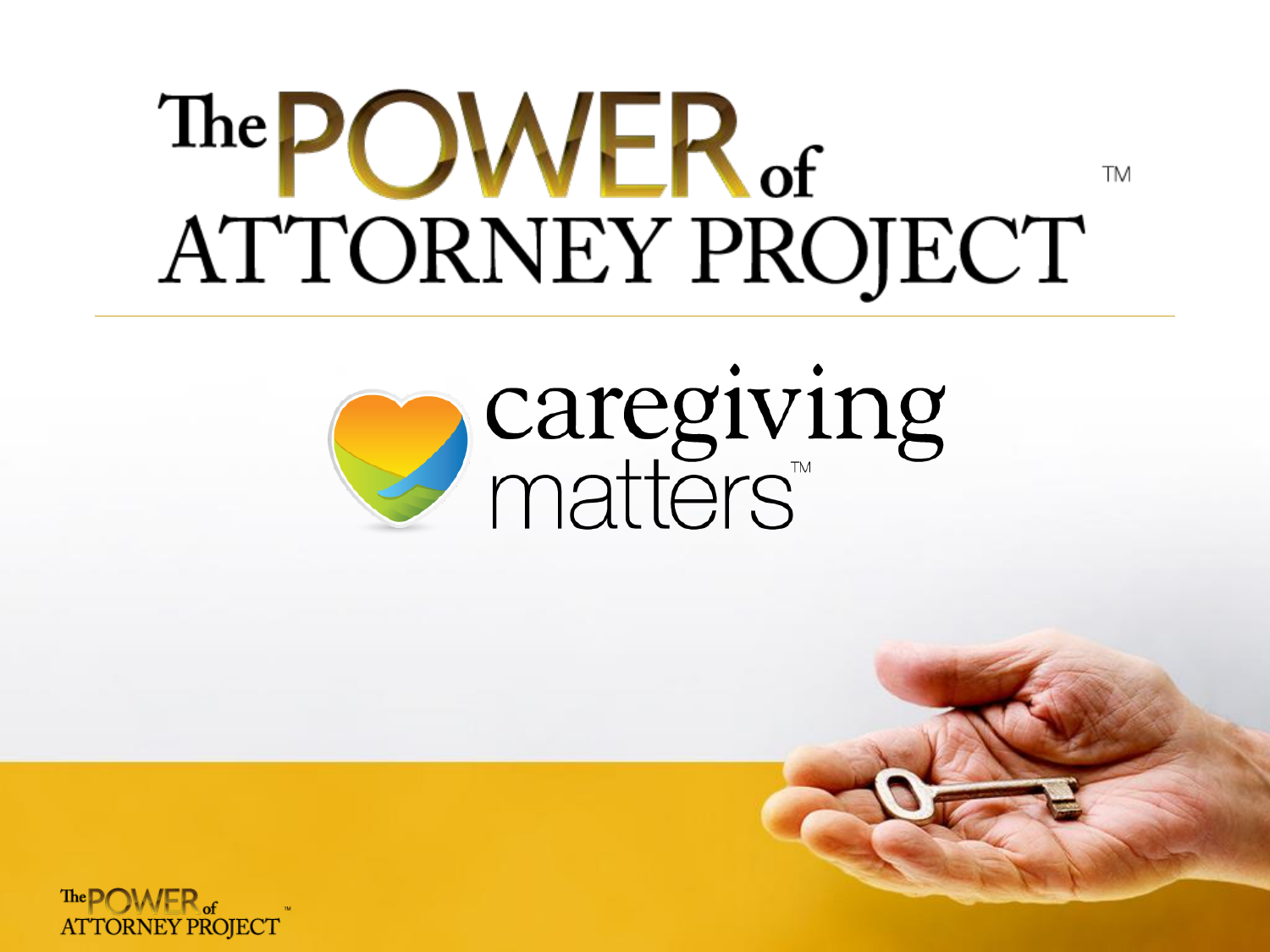#### The POWER of **TM** ATTORNEY PROJECT



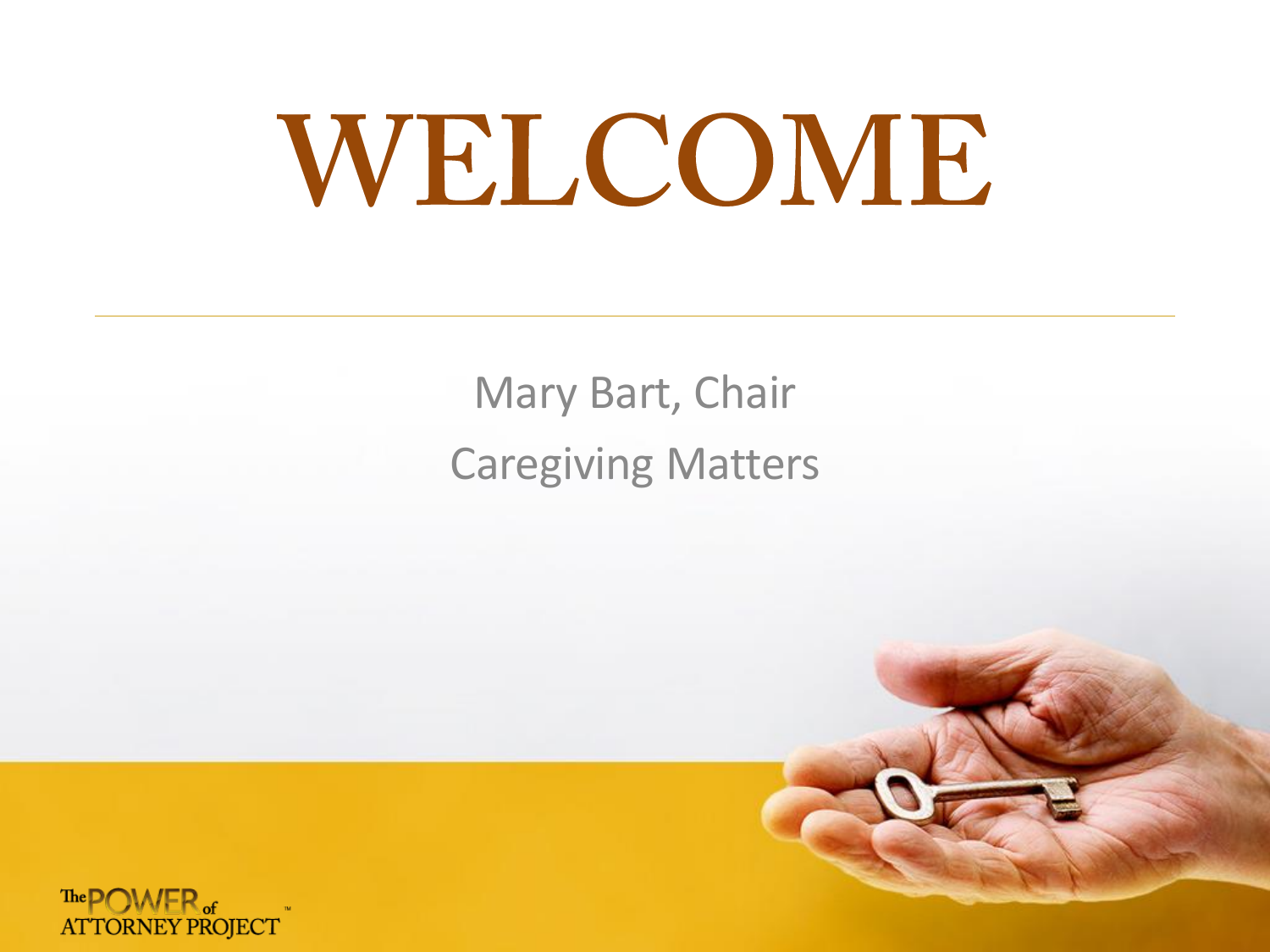# WELCOME

Mary Bart, Chair Caregiving Matters



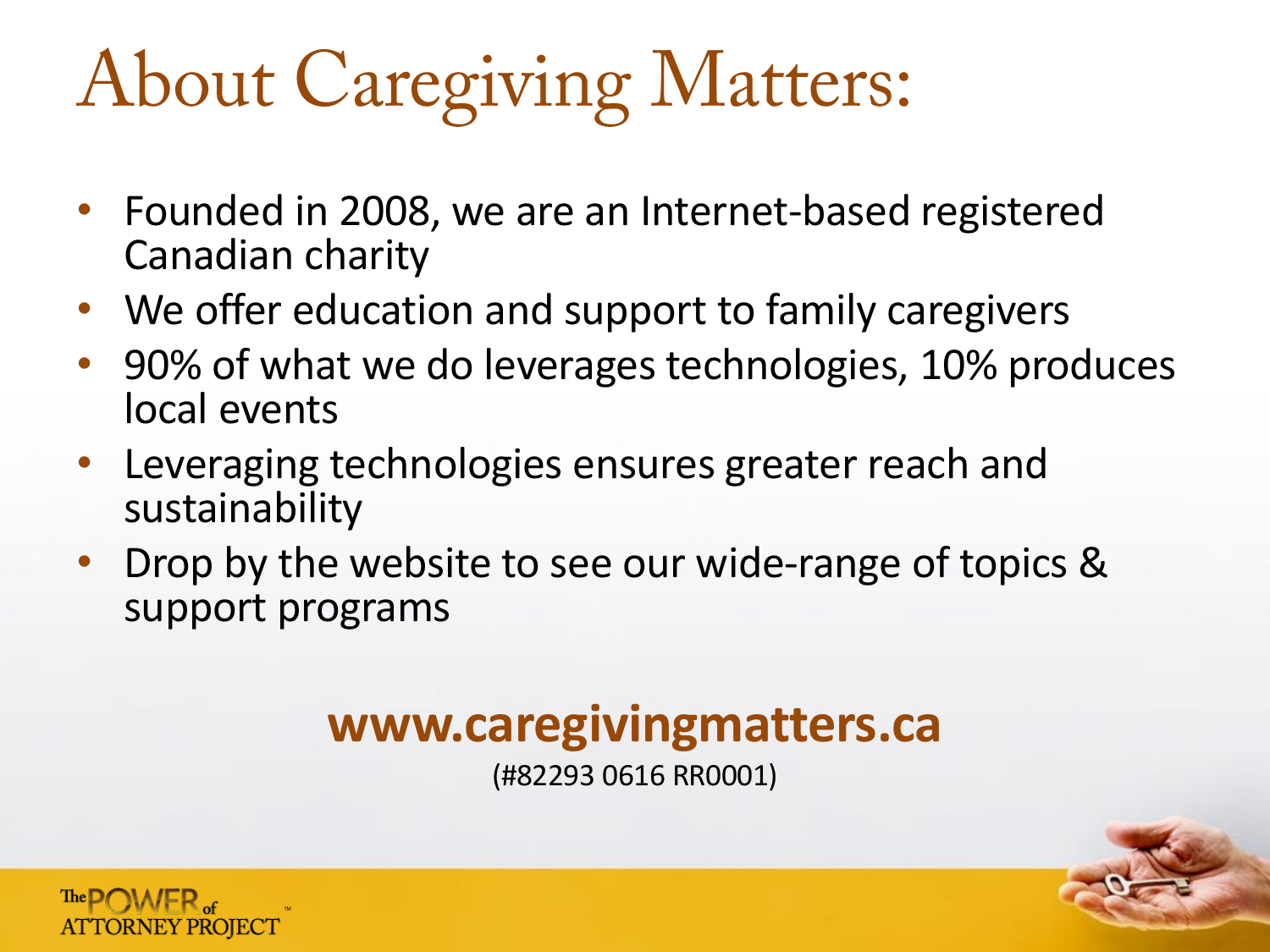### **About Caregiving Matters:**

- Founded in 2008, we are an Internet-based registered Canadian charity
- We offer education and support to family caregivers
- 90% of what we do leverages technologies, 10% produces local events
- Leveraging technologies ensures greater reach and sustainability
- Drop by the website to see our wide-range of topics & support programs

#### **www.caregivingmatters.ca**

(#82293 0616 RR0001)

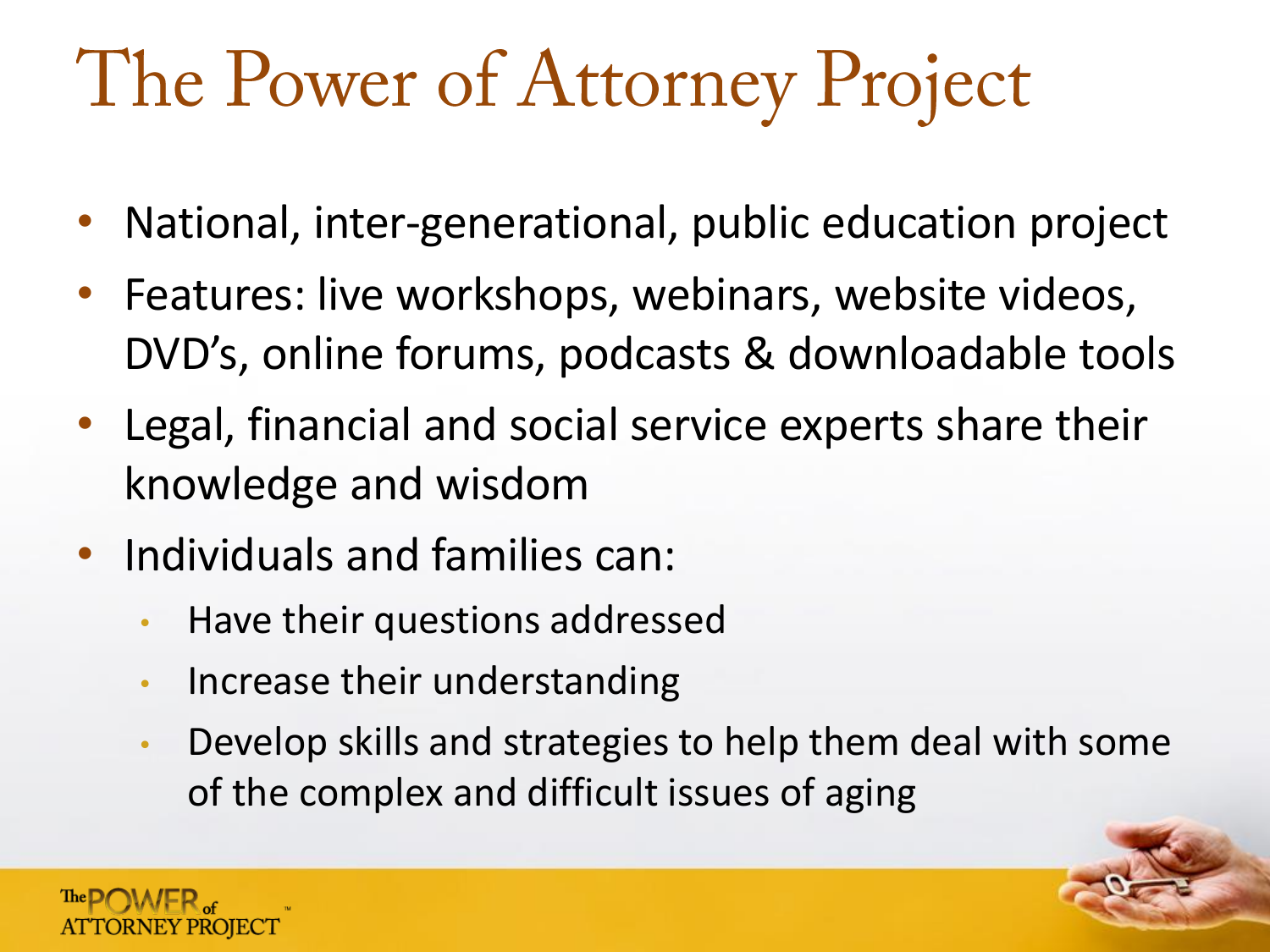#### The Power of Attorney Project

- National, inter-generational, public education project
- Features: live workshops, webinars, website videos, DVD's, online forums, podcasts & downloadable tools
- Legal, financial and social service experts share their knowledge and wisdom
- Individuals and families can:
	- Have their questions addressed
	- Increase their understanding
	- Develop skills and strategies to help them deal with some of the complex and difficult issues of aging

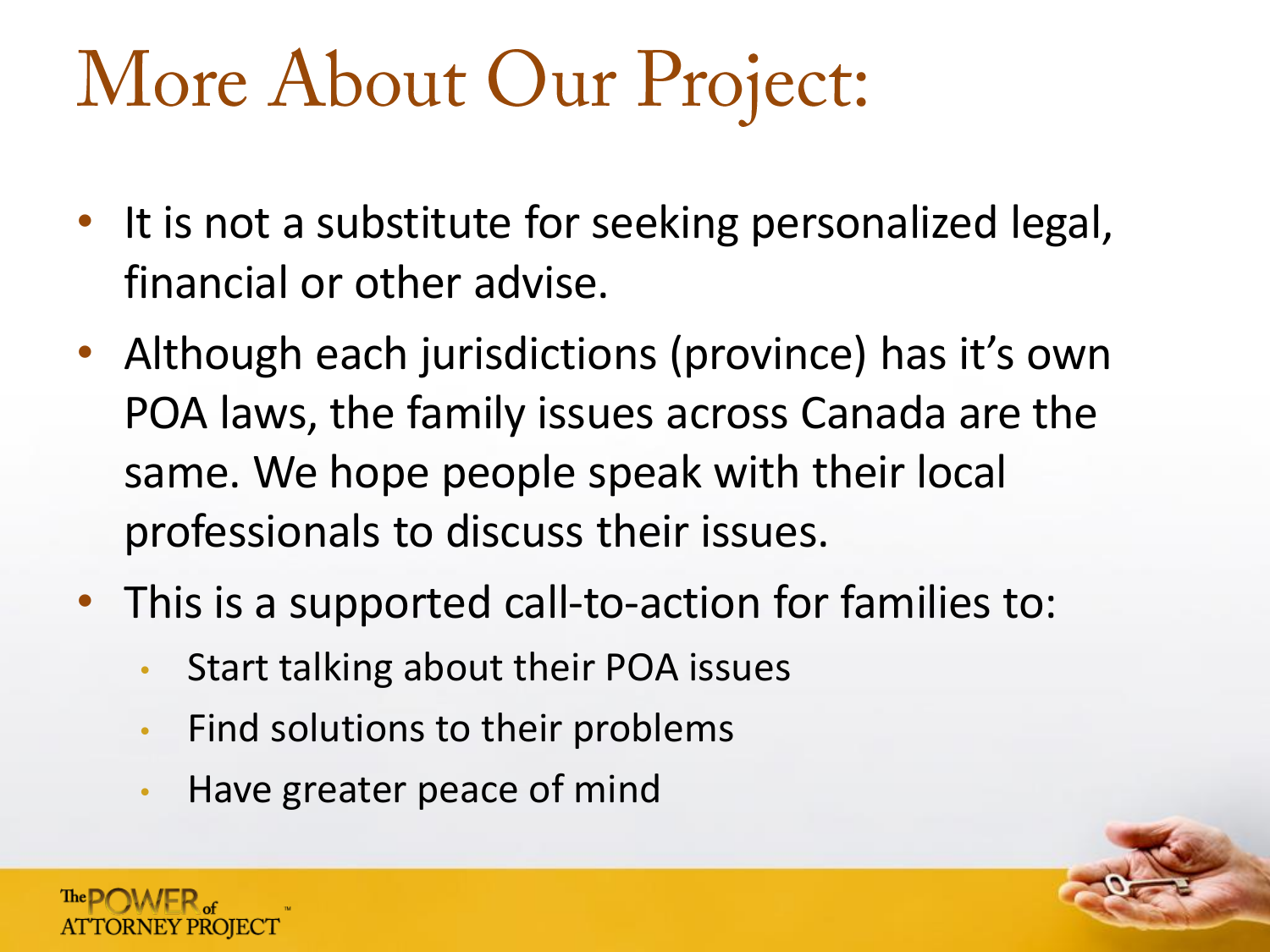#### More About Our Project:

- It is not a substitute for seeking personalized legal, financial or other advise.
- Although each jurisdictions (province) has it's own POA laws, the family issues across Canada are the same. We hope people speak with their local professionals to discuss their issues.
- This is a supported call-to-action for families to:
	- Start talking about their POA issues
	- Find solutions to their problems
	- Have greater peace of mind

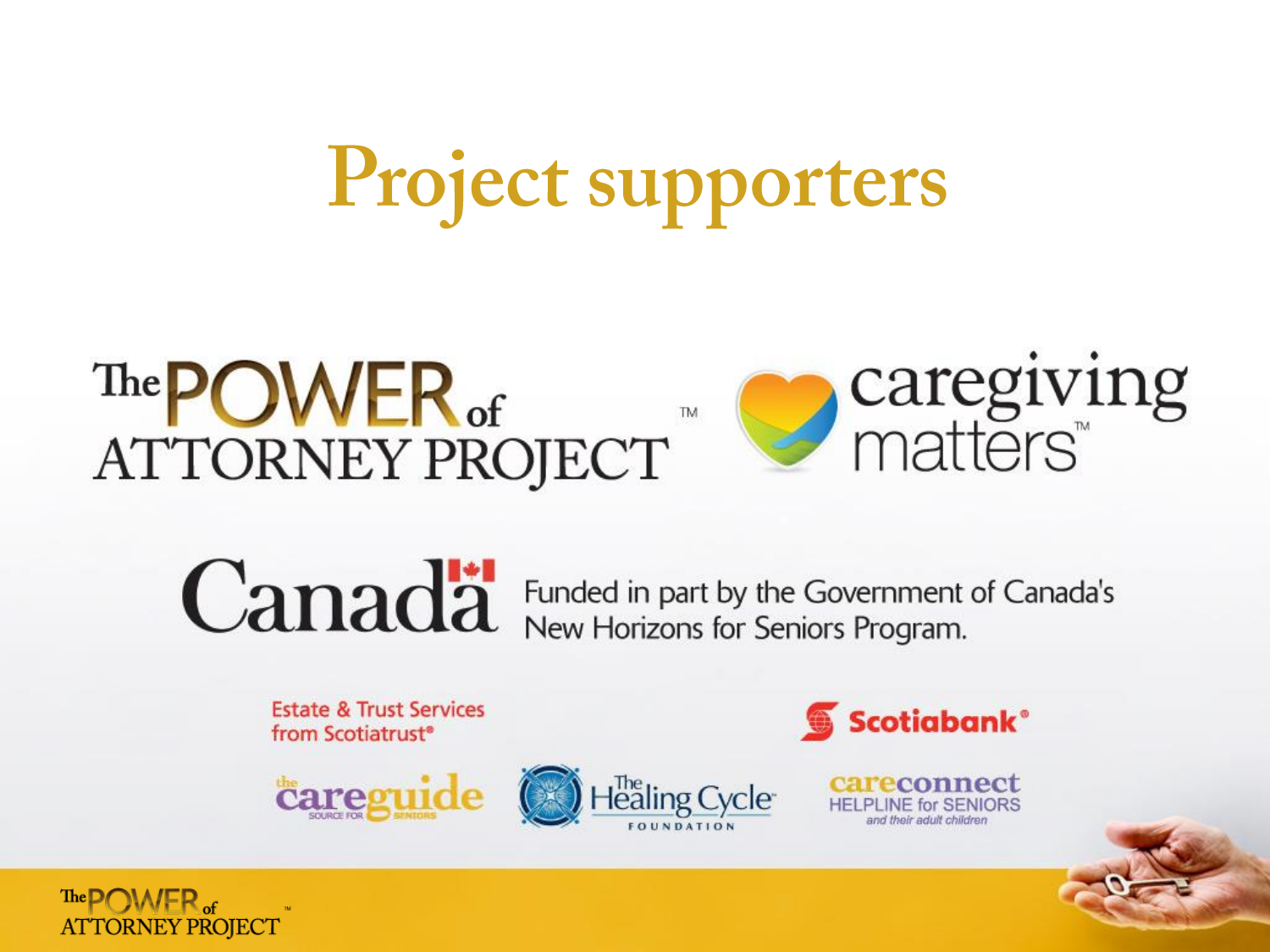## Project supporters

Healing Cycle<sup>-</sup>

#### The **POWER** of<br>ATTORNEY PROJECT **TM**

caregiving<br>matters

# **Canadä**

Funded in part by the Government of Canada's<br>New Horizons for Seniors Program.

**Estate & Trust Services** from Scotiatrust<sup>®</sup>

*<u><i><u>eareguide</u>*</u>



reconnect **HELPLINE for SENIORS** 

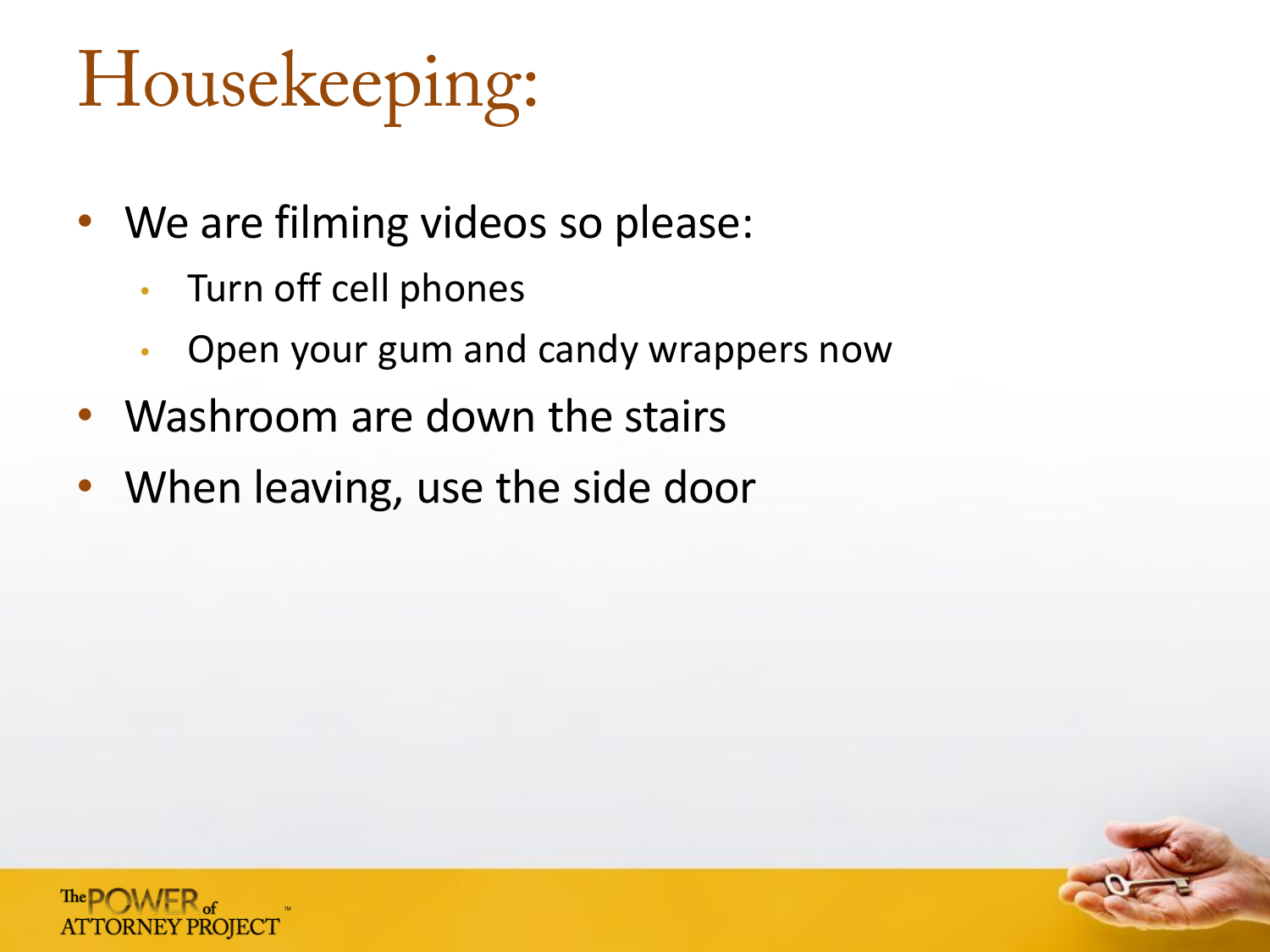#### Housekeeping:

- We are filming videos so please:
	- Turn off cell phones
	- Open your gum and candy wrappers now
- Washroom are down the stairs
- When leaving, use the side door